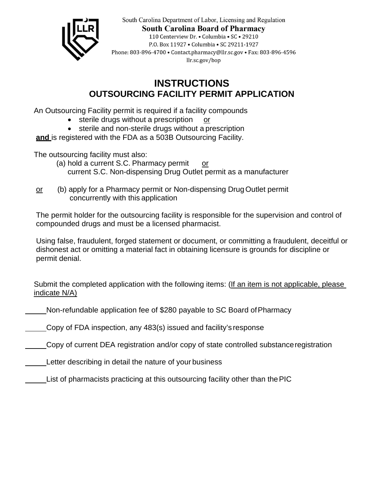

South Carolina Department of Labor, Licensing and Regulation **South Carolina Board of Pharmacy** 110 Centerview Dr. • Columbia • SC • 29210 P.O. Box 11927 . Columbia . SC 29211-1927 Phone: 803-896-4700 · Contact.pharmacy@llr.sc.gov · Fax: 803-896-4596 llr.sc.gov/bop

## **OUTSOURCING FACILITY PERMIT APPLICATION INSTRUCTIONS**

An Outsourcing Facility permit is required if a facility compounds

- sterile drugs without a prescription or
- sterile and non-sterile drugs without a prescription

**and** is registered with the FDA as a 503B Outsourcing Facility.

The outsourcing facility must also:

- (a) hold a current S.C. Pharmacy permit or current S.C. Non-dispensing Drug Outlet permit as a manufacturer
- or (b) apply for a Pharmacy permit or Non-dispensing DrugOutlet permit concurrently with this application

The permit holder for the outsourcing facility is responsible for the supervision and control of compounded drugs and must be a licensed pharmacist.

Using false, fraudulent, forged statement or document, or committing a fraudulent, deceitful or dishonest act or omitting a material fact in obtaining licensure is grounds for discipline or permit denial.

Submit the completed application with the following items: (If an item is not applicable, please indicate N/A)

Non-refundable application fee of \$280 payable to SC Board ofPharmacy

Copy of FDA inspection, any 483(s) issued and facility's response

Copy of current DEA registration and/or copy of state controlled substanceregistration

Letter describing in detail the nature of your business

List of pharmacists practicing at this outsourcing facility other than thePIC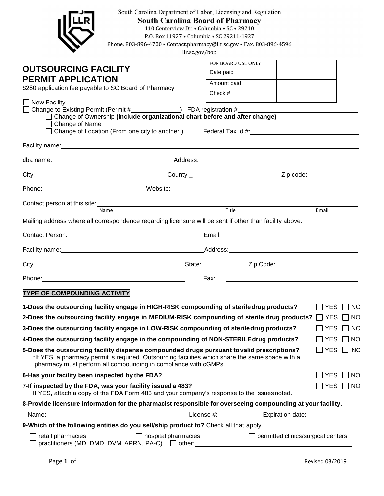| South Carolina Department of Labor, Licensing and Regulation<br><b>South Carolina Board of Pharmacy</b><br>110 Centerview Dr. • Columbia • SC • 29210<br>P.O. Box 11927 . Columbia . SC 29211-1927<br>Phone: 803-896-4700 · Contact.pharmacy@llr.sc.gov · Fax: 803-896-4596<br>llr.sc.gov/bop    |                    |                                           |                      |               |
|--------------------------------------------------------------------------------------------------------------------------------------------------------------------------------------------------------------------------------------------------------------------------------------------------|--------------------|-------------------------------------------|----------------------|---------------|
|                                                                                                                                                                                                                                                                                                  | FOR BOARD USE ONLY |                                           |                      |               |
| <b>OUTSOURCING FACILITY</b>                                                                                                                                                                                                                                                                      | Date paid          |                                           |                      |               |
| <b>PERMIT APPLICATION</b>                                                                                                                                                                                                                                                                        | Amount paid        |                                           |                      |               |
| \$280 application fee payable to SC Board of Pharmacy                                                                                                                                                                                                                                            | Check #            |                                           |                      |               |
| $\Box$ New Facility<br>Change of Ownership (include organizational chart before and after change)<br>Change of Name<br>Change of Location (From one city to another.) Federal Tax Id #:                                                                                                          |                    |                                           |                      |               |
| Facility name: experience of the state of the state of the state of the state of the state of the state of the                                                                                                                                                                                   |                    |                                           |                      |               |
|                                                                                                                                                                                                                                                                                                  |                    |                                           |                      |               |
|                                                                                                                                                                                                                                                                                                  |                    |                                           |                      |               |
|                                                                                                                                                                                                                                                                                                  |                    |                                           |                      |               |
|                                                                                                                                                                                                                                                                                                  |                    |                                           |                      |               |
| Contact person at this site:<br>Name<br>Name<br>Name<br>Name<br>Name<br>Name<br>Name<br>Name<br>Name<br>Name<br>Name<br>Name<br>Name<br>Name<br>Name<br>Name<br>Name<br>Name<br>Name<br>Name<br>Name<br>Name<br>Name<br>Name<br>Name<br>Name<br>Name<br>Name<br>Name<br>Name<br>Name<br>Name<br> |                    |                                           | Email                |               |
| Mailing address where all correspondence regarding licensure will be sent if other than facility above:                                                                                                                                                                                          |                    |                                           |                      |               |
|                                                                                                                                                                                                                                                                                                  |                    |                                           |                      |               |
|                                                                                                                                                                                                                                                                                                  |                    |                                           |                      |               |
|                                                                                                                                                                                                                                                                                                  |                    |                                           |                      |               |
| Phone: 2008 2010 2020 2020 2020 2021 2021 2022 2021 2022 2021 2022 2022 2022 2022 2021 2022 2022 2022 2022 20                                                                                                                                                                                    | Fax:               |                                           |                      |               |
| <b>TYPE OF COMPOUNDING ACTIVITY</b>                                                                                                                                                                                                                                                              |                    |                                           |                      |               |
| 1-Does the outsourcing facility engage in HIGH-RISK compounding of steriledrug products?                                                                                                                                                                                                         |                    |                                           | ∏ YES                | $\vert$ NO    |
| 2-Does the outsourcing facility engage in MEDIUM-RISK compounding of sterile drug products?                                                                                                                                                                                                      |                    |                                           | YES                  | NO.           |
| 3-Does the outsourcing facility engage in LOW-RISK compounding of steriledrug products?                                                                                                                                                                                                          |                    |                                           | <b>YES</b>           | NO            |
| 4-Does the outsourcing facility engage in the compounding of NON-STERILEdrug products?                                                                                                                                                                                                           |                    |                                           | <b>YES</b>           | NO            |
| 5-Does the outsourcing facility dispense compounded drugs pursuant to valid prescriptions?<br>*If YES, a pharmacy permit is required. Outsourcing facilities which share the same space with a<br>pharmacy must perform all compounding in compliance with cGMPs.                                |                    |                                           |                      | YES $\Box$ NO |
| 6-Has your facility been inspected by the FDA?                                                                                                                                                                                                                                                   |                    |                                           | $\Box$ YES $\Box$ NO |               |
| 7-If inspected by the FDA, was your facility issued a 483?<br>If YES, attach a copy of the FDA Form 483 and your company's response to the issues noted.                                                                                                                                         |                    |                                           | $\Box$ Yes $\Box$ No |               |
| 8-Provide licensure information for the pharmacist responsible for overseeing compounding at your facility.                                                                                                                                                                                      |                    |                                           |                      |               |
| Name: Name: Name: Name: Name: Name: Name: Name: Name: Name: Name: Name: Name: Name: Name: Name: Name: Name: Name: Name: Name: Name: Name: Name: Name: Name: Name: Name: Name: Name: Name: Name: Name: Name: Name: Name: Name:                                                                    |                    |                                           |                      |               |
| 9-Which of the following entities do you sell/ship product to? Check all that apply.                                                                                                                                                                                                             |                    |                                           |                      |               |
| retail pharmacies<br>$\Box$ hospital pharmacies<br>practitioners (MD, DMD, DVM, APRN, PA-C) $\Box$ other:                                                                                                                                                                                        |                    | $\Box$ permitted clinics/surgical centers |                      |               |